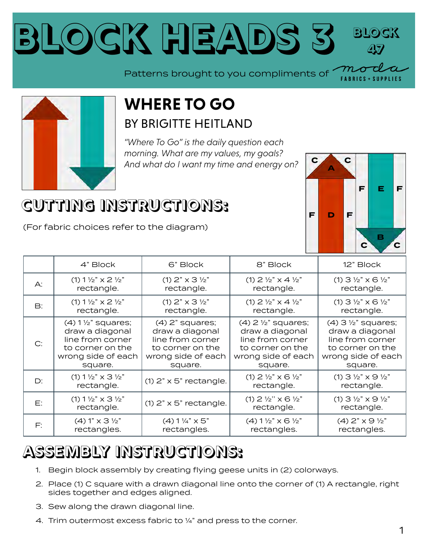## **Block Heads 3 BILOCK 47**

Patterns brought to you compliments of

**A**

**C C**

**D F F**

**B**

**EF F**

**LIFS** 

**C C**



## **WHERE TO GO** BY [BRIGITTE HEITLAND](https://my.modafabrics.com/designers/zen-chic)

*"Where To Go" is the daily question each morning. What are my values, my goals? And what do I want my time and energy on?*

## **CUTTING INSTRUCTIONS:**

(For fabric choices refer to the diagram)

|               | 4" Block                                                         | 6" Block                            | 8" Block                                                         | 12" Block                                                        |
|---------------|------------------------------------------------------------------|-------------------------------------|------------------------------------------------------------------|------------------------------------------------------------------|
| A:            | $(1)$ 1 $\frac{1}{2}$ " $\times$ 2 $\frac{1}{2}$ "               | (1) $2" \times 3 \frac{1}{2}"$      | (1) $2\frac{1}{2}$ $\times$ 4 $\frac{1}{2}$ "                    | $(1)$ 3 1/2" $\times$ 6 1/2"                                     |
|               | rectangle.                                                       | rectangle.                          | rectangle.                                                       | rectangle.                                                       |
| $\mathsf{B}:$ | $(1)$ 1 $\frac{1}{2}$ " $\times$ 2 $\frac{1}{2}$ "               | $(1)$ 2" $\times$ 3 $\frac{1}{2}$ " | (1) $2\frac{1}{2}$ $\times$ 4 $\frac{1}{2}$ "                    | $(1)$ 3 1/2" $\times$ 6 1/2"                                     |
|               | rectangle.                                                       | rectangle.                          | rectangle.                                                       | rectangle.                                                       |
| C:            | $(4)$ 1 $\frac{1}{2}$ " squares;                                 | $(4)$ 2" squares;                   | $(4)$ 2 $\frac{1}{2}$ " squares;                                 | $(4)$ 3 $\frac{1}{2}$ " squares;                                 |
|               | draw a diagonal                                                  | draw a diagonal                     | draw a diagonal                                                  | draw a diagonal                                                  |
|               | line from corner                                                 | line from corner                    | line from corner                                                 | line from corner                                                 |
|               | to corner on the                                                 | to corner on the                    | to corner on the                                                 | to corner on the                                                 |
|               | wrong side of each                                               | wrong side of each                  | wrong side of each                                               | wrong side of each                                               |
|               | square.                                                          | square.                             | square.                                                          | square.                                                          |
| D:            | $(1)$ 1 1/2" $\times$ 3 1/2"<br>rectangle.                       | $(1)$ 2" $\times$ 5" rectangle.     | $(1)$ 2 $\frac{1}{2}$ " $\times$ 6 $\frac{1}{2}$ "<br>rectangle. | (1) $3\frac{1}{2}$ " $\times$ $9\frac{1}{2}$ "<br>rectangle.     |
| E:            | $(1)$ 1 $\frac{1}{2}$ " $\times$ 3 $\frac{1}{2}$ "<br>rectangle. | $(1)$ 2" $\times$ 5" rectangle.     | $(1)$ 2 $\frac{1}{2}$ " $\times$ 6 $\frac{1}{2}$ "<br>rectangle. | $(1)$ 3 $\frac{1}{2}$ " $\times$ 9 $\frac{1}{2}$ "<br>rectangle. |
| F:            | $(4) 1" \times 3 \frac{1}{2"$                                    | $(4) 1\frac{1}{4}$ x 5"             | $(4) 1 \frac{1}{2} x \times 6 \frac{1}{2} x$                     | $(4)$ 2" $\times$ 9 $\frac{1}{2}$ "                              |
|               | rectangles.                                                      | rectangles.                         | rectangles.                                                      | rectangles.                                                      |

## **ASSEMBLY INSTRUCTIONS:**

- 1. Begin block assembly by creating flying geese units in (2) colorways.
- 2. Place (1) C square with a drawn diagonal line onto the corner of (1) A rectangle, right sides together and edges aligned.
- 3. Sew along the drawn diagonal line.
- 4. Trim outermost excess fabric to ¼" and press to the corner.